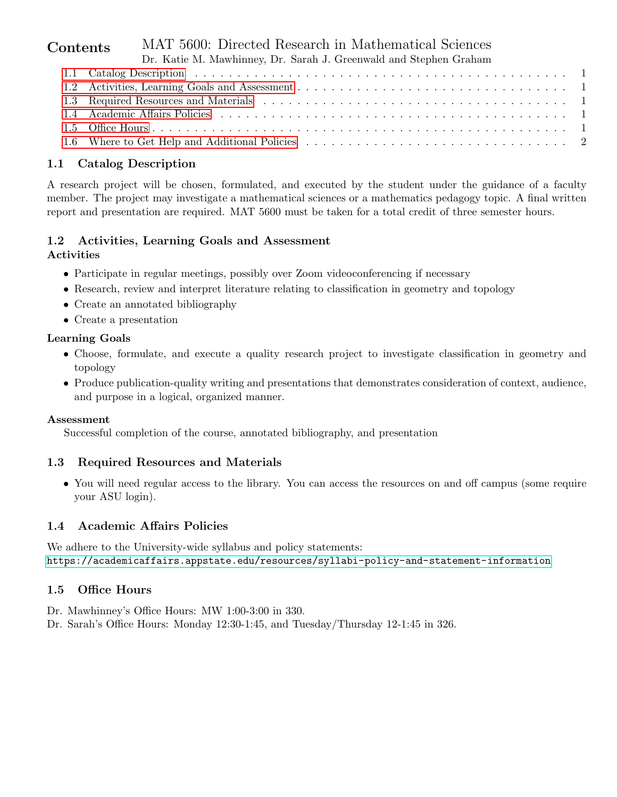| Contents | MAT 5600: Directed Research in Mathematical Sciences              |
|----------|-------------------------------------------------------------------|
|          | Dr. Katie M. Mawhinney, Dr. Sarah J. Greenwald and Stephen Graham |
|          |                                                                   |
|          |                                                                   |
|          |                                                                   |
|          |                                                                   |
|          |                                                                   |
|          |                                                                   |

# <span id="page-0-0"></span>1.1 Catalog Description

A research project will be chosen, formulated, and executed by the student under the guidance of a faculty member. The project may investigate a mathematical sciences or a mathematics pedagogy topic. A final written report and presentation are required. MAT 5600 must be taken for a total credit of three semester hours.

#### <span id="page-0-1"></span>1.2 Activities, Learning Goals and Assessment Activities

- Participate in regular meetings, possibly over Zoom videoconferencing if necessary
- Research, review and interpret literature relating to classification in geometry and topology
- Create an annotated bibliography
- Create a presentation

## Learning Goals

- Choose, formulate, and execute a quality research project to investigate classification in geometry and topology
- Produce publication-quality writing and presentations that demonstrates consideration of context, audience, and purpose in a logical, organized manner.

### Assessment

Successful completion of the course, annotated bibliography, and presentation

### <span id="page-0-2"></span>1.3 Required Resources and Materials

• You will need regular access to the library. You can access the resources on and off campus (some require your ASU login).

### <span id="page-0-3"></span>1.4 Academic Affairs Policies

We adhere to the University-wide syllabus and policy statements: <https://academicaffairs.appstate.edu/resources/syllabi-policy-and-statement-information>

# <span id="page-0-4"></span>1.5 Office Hours

- Dr. Mawhinney's Office Hours: MW 1:00-3:00 in 330.
- Dr. Sarah's Office Hours: Monday 12:30-1:45, and Tuesday/Thursday 12-1:45 in 326.